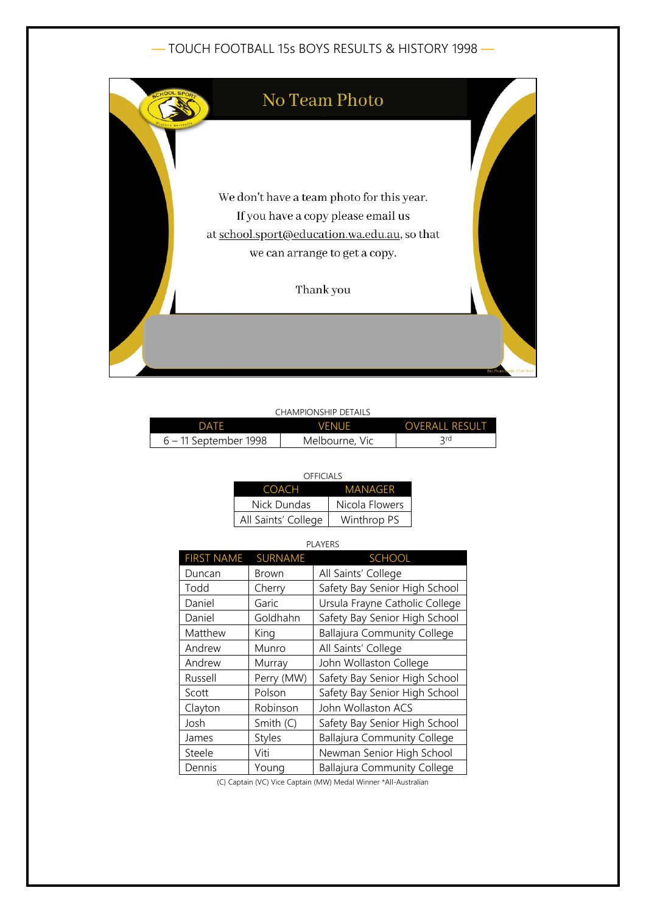# — TOUCH FOOTBALL 15s BOYS RESULTS & HISTORY 1998 —



### CHAMPIONSHIP DETAILS

| つATF                    | VFNUF          | <b>OVERALL RESULT</b> |
|-------------------------|----------------|-----------------------|
| $6 - 11$ September 1998 | Melbourne, Vic | $\supset$ rd          |

#### OFFICIALS

| COACH               | MANAGER        |
|---------------------|----------------|
| Nick Dundas         | Nicola Flowers |
| All Saints' College | Winthrop PS    |

| <b>PLAYERS</b>    |                |                                    |
|-------------------|----------------|------------------------------------|
| <b>FIRST NAME</b> | <b>SURNAME</b> | <b>SCHOOL</b>                      |
| Duncan            | Brown          | All Saints' College                |
| Todd              | Cherry         | Safety Bay Senior High School      |
| Daniel            | Garic          | Ursula Frayne Catholic College     |
| Daniel            | Goldhahn       | Safety Bay Senior High School      |
| Matthew           | King           | <b>Ballajura Community College</b> |
| Andrew            | Munro          | All Saints' College                |
| Andrew            | Murray         | John Wollaston College             |
| Russell           | Perry (MW)     | Safety Bay Senior High School      |
| Scott             | Polson         | Safety Bay Senior High School      |
| Clayton           | Robinson       | John Wollaston ACS                 |
| Josh              | Smith (C)      | Safety Bay Senior High School      |
| James             | <b>Styles</b>  | <b>Ballajura Community College</b> |
| Steele            | Viti           | Newman Senior High School          |
| Dennis            | Young          | <b>Ballajura Community College</b> |

(C) Captain (VC) Vice Captain (MW) Medal Winner \*All-Australian